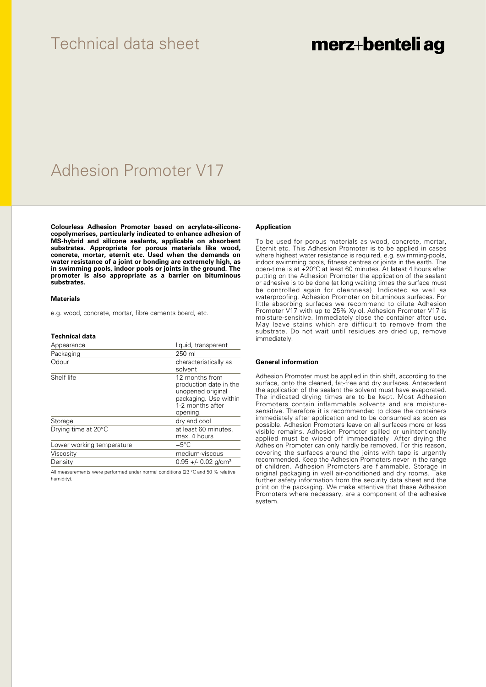### Technical data sheet

## merz+benteli ag

## Adhesion Promoter V17

**Colourless Adhesion Promoter based on acrylate-siliconecopolymerises, particularly indicated to enhance adhesion of MS-hybrid and silicone sealants, applicable on absorbent substrates. Appropriate for porous materials like wood, concrete, mortar, eternit etc. Used when the demands on water resistance of a joint or bonding are extremely high, as in swimming pools, indoor pools or joints in the ground. The promoter is also appropriate as a barrier on bituminous substrates.**

#### **Materials**

e.g. wood, concrete, mortar, fibre cements board, etc.

#### **Technical data**

| Appearance                | liquid, transparent                                                                                                    |
|---------------------------|------------------------------------------------------------------------------------------------------------------------|
| Packaging                 | 250 ml                                                                                                                 |
| Odour                     | characteristically as<br>solvent                                                                                       |
| Shelf life                | 12 months from<br>production date in the<br>unopened original<br>packaging. Use within<br>1-2 months after<br>opening. |
| Storage                   | dry and cool                                                                                                           |
| Drying time at 20°C       | at least 60 minutes,<br>max. 4 hours                                                                                   |
| Lower working temperature | $+5^{\circ}$ C                                                                                                         |
| Viscosity                 | medium-viscous                                                                                                         |
| Density                   | $0.95 +/- 0.02$ g/cm <sup>3</sup>                                                                                      |
|                           |                                                                                                                        |

All measurements were performed under normal conditions (23 °C and 50 % relative humidity).

#### **Application**

To be used for porous materials as wood, concrete, mortar, Eternit etc. This Adhesion Promoter is to be applied in cases where highest water resistance is required, e.g. swimming-pools, indoor swimming pools, fitness centres or joints in the earth. The open-time is at +20°C at least 60 minutes. At latest 4 hours after putting on the Adhesion Promoter the application of the sealant or adhesive is to be done (at long waiting times the surface must be controlled again for cleanness). Indicated as well as waterproofing. Adhesion Promoter on bituminous surfaces. For little absorbing surfaces we recommend to dilute Adhesion Promoter V17 with up to 25% Xylol. Adhesion Promoter V17 is moisture-sensitive. Immediately close the container after use. May leave stains which are difficult to remove from the substrate. Do not wait until residues are dried up, remove immediately.

#### **General information**

Adhesion Promoter must be applied in thin shift, according to the surface, onto the cleaned, fat-free and dry surfaces. Antecedent the application of the sealant the solvent must have evaporated. The indicated drying times are to be kept. Most Adhesion Promoters contain inflammable solvents and are moisturesensitive. Therefore it is recommended to close the containers immediately after application and to be consumed as soon as possible. Adhesion Promoters leave on all surfaces more or less visible remains. Adhesion Promoter spilled or unintentionally applied must be wiped off immeadiately. After drying the Adhesion Promoter can only hardly be removed. For this reason, covering the surfaces around the joints with tape is urgently recommended. Keep the Adhesion Promoters never in the range of children. Adhesion Promoters are flammable. Storage in original packaging in well air-conditioned and dry rooms. Take further safety information from the security data sheet and the print on the packaging. We make attentive that these Adhesion Promoters where necessary, are a component of the adhesive system.